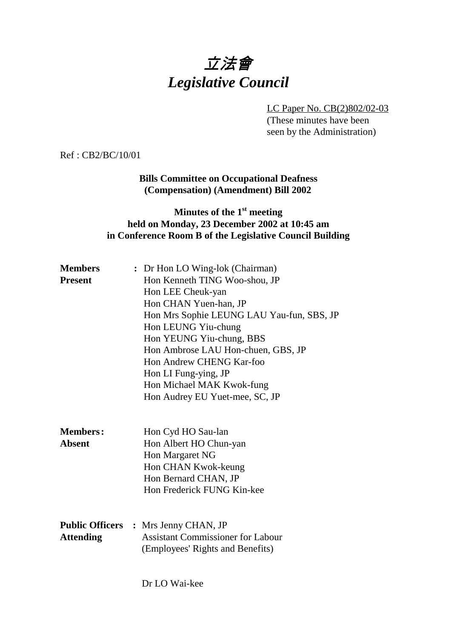# 立法會 *Legislative Council*

LC Paper No. CB(2)802/02-03 (These minutes have been seen by the Administration)

Ref : CB2/BC/10/01

#### **Bills Committee on Occupational Deafness (Compensation) (Amendment) Bill 2002**

### **Minutes of the 1st meeting held on Monday, 23 December 2002 at 10:45 am in Conference Room B of the Legislative Council Building**

| <b>Members</b>   | : Dr Hon LO Wing-lok (Chairman)             |  |  |  |
|------------------|---------------------------------------------|--|--|--|
| <b>Present</b>   | Hon Kenneth TING Woo-shou, JP               |  |  |  |
|                  | Hon LEE Cheuk-yan                           |  |  |  |
|                  | Hon CHAN Yuen-han, JP                       |  |  |  |
|                  | Hon Mrs Sophie LEUNG LAU Yau-fun, SBS, JP   |  |  |  |
|                  | Hon LEUNG Yiu-chung                         |  |  |  |
|                  | Hon YEUNG Yiu-chung, BBS                    |  |  |  |
|                  | Hon Ambrose LAU Hon-chuen, GBS, JP          |  |  |  |
|                  | Hon Andrew CHENG Kar-foo                    |  |  |  |
|                  | Hon LI Fung-ying, JP                        |  |  |  |
|                  | Hon Michael MAK Kwok-fung                   |  |  |  |
|                  | Hon Audrey EU Yuet-mee, SC, JP              |  |  |  |
|                  |                                             |  |  |  |
| <b>Members:</b>  | Hon Cyd HO Sau-lan                          |  |  |  |
| <b>Absent</b>    | Hon Albert HO Chun-yan                      |  |  |  |
|                  | Hon Margaret NG                             |  |  |  |
|                  | Hon CHAN Kwok-keung                         |  |  |  |
|                  | Hon Bernard CHAN, JP                        |  |  |  |
|                  | Hon Frederick FUNG Kin-kee                  |  |  |  |
|                  |                                             |  |  |  |
|                  | <b>Public Officers :</b> Mrs Jenny CHAN, JP |  |  |  |
| <b>Attending</b> | <b>Assistant Commissioner for Labour</b>    |  |  |  |
|                  | (Employees' Rights and Benefits)            |  |  |  |
|                  |                                             |  |  |  |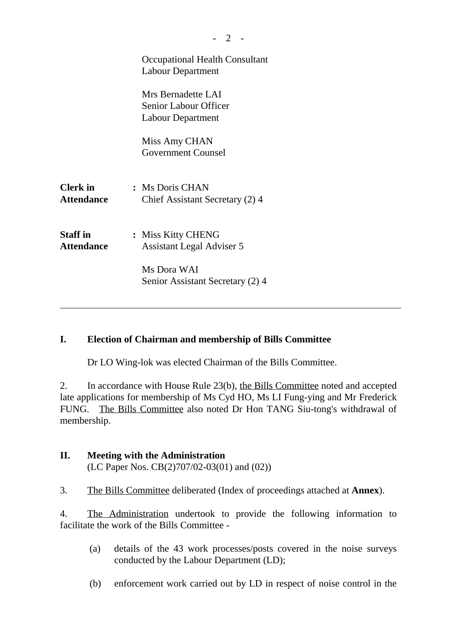|                                      | <b>Occupational Health Consultant</b><br><b>Labour Department</b>       |
|--------------------------------------|-------------------------------------------------------------------------|
|                                      | Mrs Bernadette LAI<br>Senior Labour Officer<br><b>Labour Department</b> |
|                                      | Miss Amy CHAN<br><b>Government Counsel</b>                              |
| <b>Clerk</b> in<br><b>Attendance</b> | : Ms Doris CHAN<br>Chief Assistant Secretary (2) 4                      |
| <b>Staff</b> in<br><b>Attendance</b> | : Miss Kitty CHENG<br><b>Assistant Legal Adviser 5</b>                  |
|                                      | Ms Dora WAI<br>Senior Assistant Secretary (2) 4                         |

#### **I. Election of Chairman and membership of Bills Committee**

Dr LO Wing-lok was elected Chairman of the Bills Committee.

2. In accordance with House Rule 23(b), the Bills Committee noted and accepted late applications for membership of Ms Cyd HO, Ms LI Fung-ying and Mr Frederick FUNG. The Bills Committee also noted Dr Hon TANG Siu-tong's withdrawal of membership.

#### **II. Meeting with the Administration**

(LC Paper Nos. CB(2)707/02-03(01) and (02))

3. The Bills Committee deliberated (Index of proceedings attached at **Annex**).

4. The Administration undertook to provide the following information to facilitate the work of the Bills Committee -

- (a) details of the 43 work processes/posts covered in the noise surveys conducted by the Labour Department (LD);
- (b) enforcement work carried out by LD in respect of noise control in the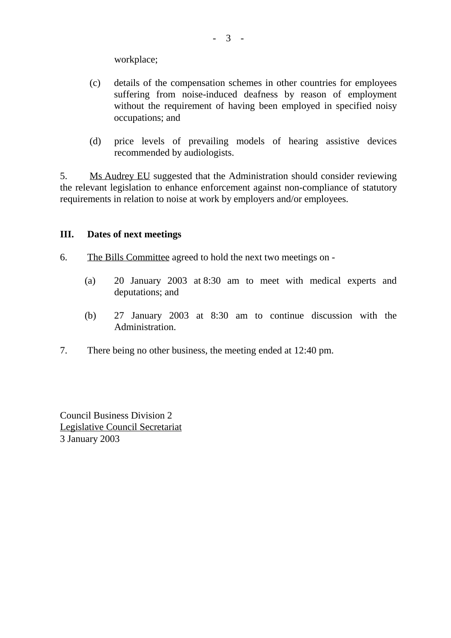workplace;

- (c) details of the compensation schemes in other countries for employees suffering from noise-induced deafness by reason of employment without the requirement of having been employed in specified noisy occupations; and
- (d) price levels of prevailing models of hearing assistive devices recommended by audiologists.

5. Ms Audrey EU suggested that the Administration should consider reviewing the relevant legislation to enhance enforcement against non-compliance of statutory requirements in relation to noise at work by employers and/or employees.

#### **III. Dates of next meetings**

- 6. The Bills Committee agreed to hold the next two meetings on
	- (a) 20 January 2003 at 8:30 am to meet with medical experts and deputations; and
	- (b) 27 January 2003 at 8:30 am to continue discussion with the Administration.
- 7. There being no other business, the meeting ended at 12:40 pm.

Council Business Division 2 Legislative Council Secretariat 3 January 2003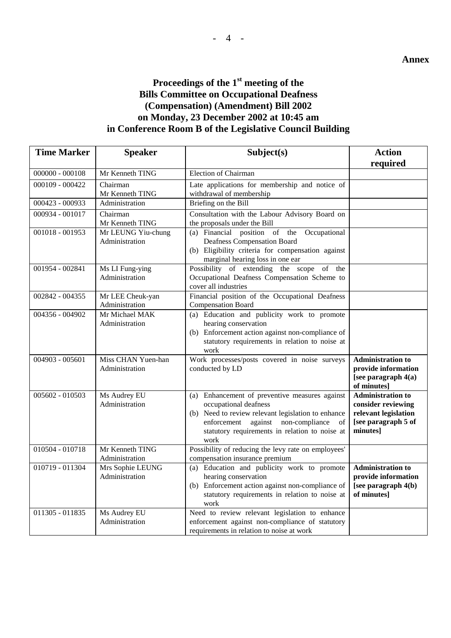## **Proceedings of the 1st meeting of the Bills Committee on Occupational Deafness (Compensation) (Amendment) Bill 2002 on Monday, 23 December 2002 at 10:45 am in Conference Room B of the Legislative Council Building**

| <b>Time Marker</b> | <b>Speaker</b>                       | Subject(s)                                                                                                                                                                                                                          | <b>Action</b>                                                                                             |
|--------------------|--------------------------------------|-------------------------------------------------------------------------------------------------------------------------------------------------------------------------------------------------------------------------------------|-----------------------------------------------------------------------------------------------------------|
|                    |                                      |                                                                                                                                                                                                                                     | required                                                                                                  |
| $000000 - 000108$  | Mr Kenneth TING                      | <b>Election of Chairman</b>                                                                                                                                                                                                         |                                                                                                           |
| 000109 - 000422    | Chairman<br>Mr Kenneth TING          | Late applications for membership and notice of<br>withdrawal of membership                                                                                                                                                          |                                                                                                           |
| 000423 - 000933    | Administration                       | Briefing on the Bill                                                                                                                                                                                                                |                                                                                                           |
| 000934 - 001017    | Chairman<br>Mr Kenneth TING          | Consultation with the Labour Advisory Board on<br>the proposals under the Bill                                                                                                                                                      |                                                                                                           |
| 001018 - 001953    | Mr LEUNG Yiu-chung<br>Administration | (a) Financial position of the<br>Occupational<br>Deafness Compensation Board<br>(b) Eligibility criteria for compensation against<br>marginal hearing loss in one ear                                                               |                                                                                                           |
| 001954 - 002841    | Ms LI Fung-ying<br>Administration    | Possibility of extending the scope of the<br>Occupational Deafness Compensation Scheme to<br>cover all industries                                                                                                                   |                                                                                                           |
| 002842 - 004355    | Mr LEE Cheuk-yan<br>Administration   | Financial position of the Occupational Deafness<br><b>Compensation Board</b>                                                                                                                                                        |                                                                                                           |
| 004356 - 004902    | Mr Michael MAK<br>Administration     | (a) Education and publicity work to promote<br>hearing conservation<br>(b) Enforcement action against non-compliance of<br>statutory requirements in relation to noise at<br>work                                                   |                                                                                                           |
| 004903 - 005601    | Miss CHAN Yuen-han<br>Administration | Work processes/posts covered in noise surveys<br>conducted by LD                                                                                                                                                                    | <b>Administration to</b><br>provide information<br>[see paragraph $4(a)$<br>of minutes]                   |
| 005602 - 010503    | Ms Audrey EU<br>Administration       | (a) Enhancement of preventive measures against<br>occupational deafness<br>(b) Need to review relevant legislation to enhance<br>enforcement against non-compliance<br>of<br>statutory requirements in relation to noise at<br>work | <b>Administration to</b><br>consider reviewing<br>relevant legislation<br>[see paragraph 5 of<br>minutes] |
| 010504 - 010718    | Mr Kenneth TING<br>Administration    | Possibility of reducing the levy rate on employees'<br>compensation insurance premium                                                                                                                                               |                                                                                                           |
| 010719 - 011304    | Mrs Sophie LEUNG<br>Administration   | (a) Education and publicity work to promote<br>hearing conservation<br>(b) Enforcement action against non-compliance of<br>statutory requirements in relation to noise at<br>work                                                   | <b>Administration to</b><br>provide information<br>[see paragraph 4(b)<br>of minutes]                     |
| 011305 - 011835    | Ms Audrey EU<br>Administration       | Need to review relevant legislation to enhance<br>enforcement against non-compliance of statutory<br>requirements in relation to noise at work                                                                                      |                                                                                                           |